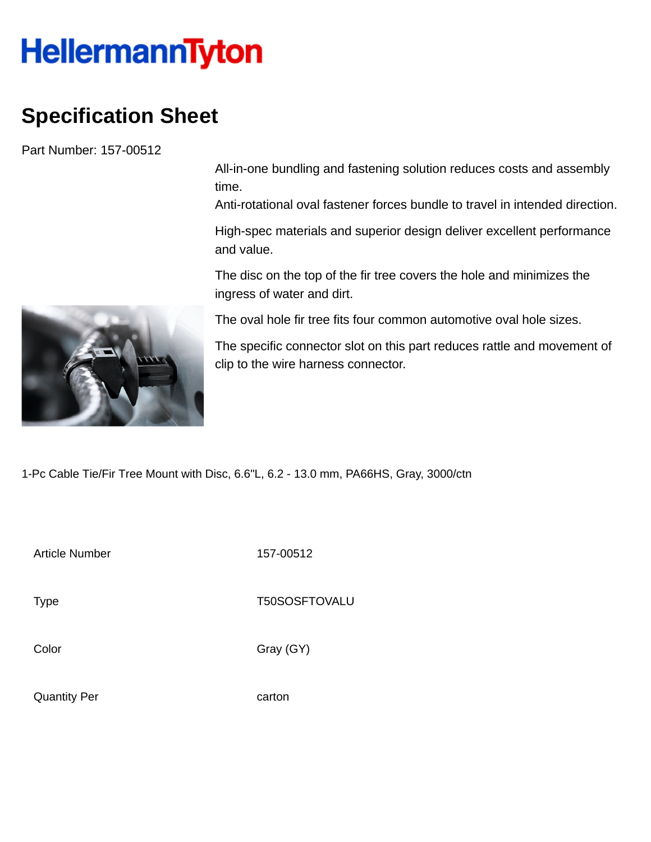## **HellermannTyton**

## **Specification Sheet**

Part Number: 157-00512

All-in-one bundling and fastening solution reduces costs and assembly time.

Anti-rotational oval fastener forces bundle to travel in intended direction.

High-spec materials and superior design deliver excellent performance and value.

The disc on the top of the fir tree covers the hole and minimizes the ingress of water and dirt.

The oval hole fir tree fits four common automotive oval hole sizes.

The specific connector slot on this part reduces rattle and movement of clip to the wire harness connector.

1-Pc Cable Tie/Fir Tree Mount with Disc, 6.6"L, 6.2 - 13.0 mm, PA66HS, Gray, 3000/ctn

Article Number 157-00512

Type Type T50SOSFTOVALU

Color Gray (GY)

Quantity Per carton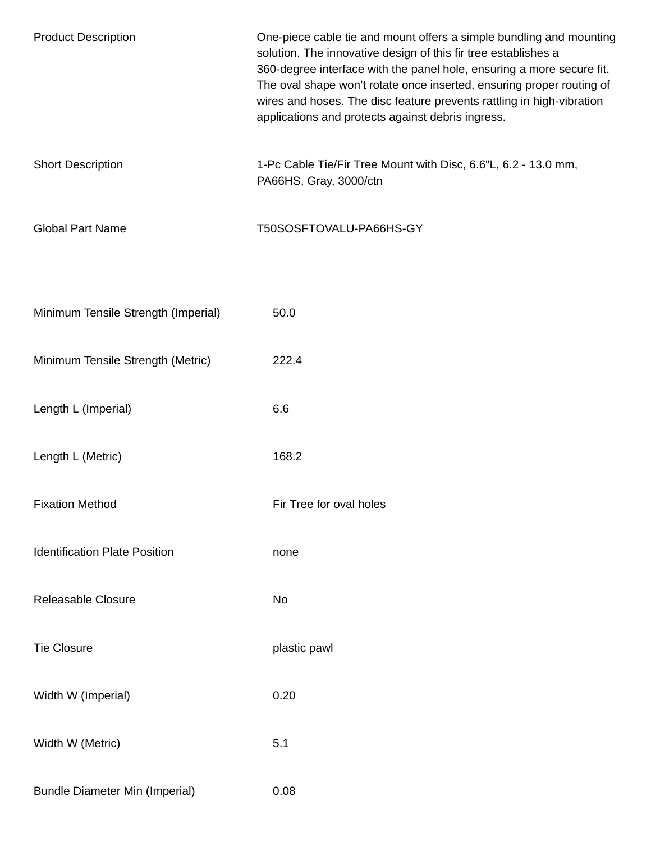| <b>Product Description</b>            | One-piece cable tie and mount offers a simple bundling and mounting<br>solution. The innovative design of this fir tree establishes a<br>360-degree interface with the panel hole, ensuring a more secure fit.<br>The oval shape won't rotate once inserted, ensuring proper routing of<br>wires and hoses. The disc feature prevents rattling in high-vibration<br>applications and protects against debris ingress. |
|---------------------------------------|-----------------------------------------------------------------------------------------------------------------------------------------------------------------------------------------------------------------------------------------------------------------------------------------------------------------------------------------------------------------------------------------------------------------------|
| <b>Short Description</b>              | 1-Pc Cable Tie/Fir Tree Mount with Disc, 6.6"L, 6.2 - 13.0 mm,<br>PA66HS, Gray, 3000/ctn                                                                                                                                                                                                                                                                                                                              |
| <b>Global Part Name</b>               | T50SOSFTOVALU-PA66HS-GY                                                                                                                                                                                                                                                                                                                                                                                               |
| Minimum Tensile Strength (Imperial)   | 50.0                                                                                                                                                                                                                                                                                                                                                                                                                  |
| Minimum Tensile Strength (Metric)     | 222.4                                                                                                                                                                                                                                                                                                                                                                                                                 |
| Length L (Imperial)                   | 6.6                                                                                                                                                                                                                                                                                                                                                                                                                   |
| Length L (Metric)                     | 168.2                                                                                                                                                                                                                                                                                                                                                                                                                 |
| <b>Fixation Method</b>                | Fir Tree for oval holes                                                                                                                                                                                                                                                                                                                                                                                               |
| <b>Identification Plate Position</b>  | none                                                                                                                                                                                                                                                                                                                                                                                                                  |
| <b>Releasable Closure</b>             | No                                                                                                                                                                                                                                                                                                                                                                                                                    |
| <b>Tie Closure</b>                    | plastic pawl                                                                                                                                                                                                                                                                                                                                                                                                          |
| Width W (Imperial)                    | 0.20                                                                                                                                                                                                                                                                                                                                                                                                                  |
| Width W (Metric)                      | 5.1                                                                                                                                                                                                                                                                                                                                                                                                                   |
| <b>Bundle Diameter Min (Imperial)</b> | 0.08                                                                                                                                                                                                                                                                                                                                                                                                                  |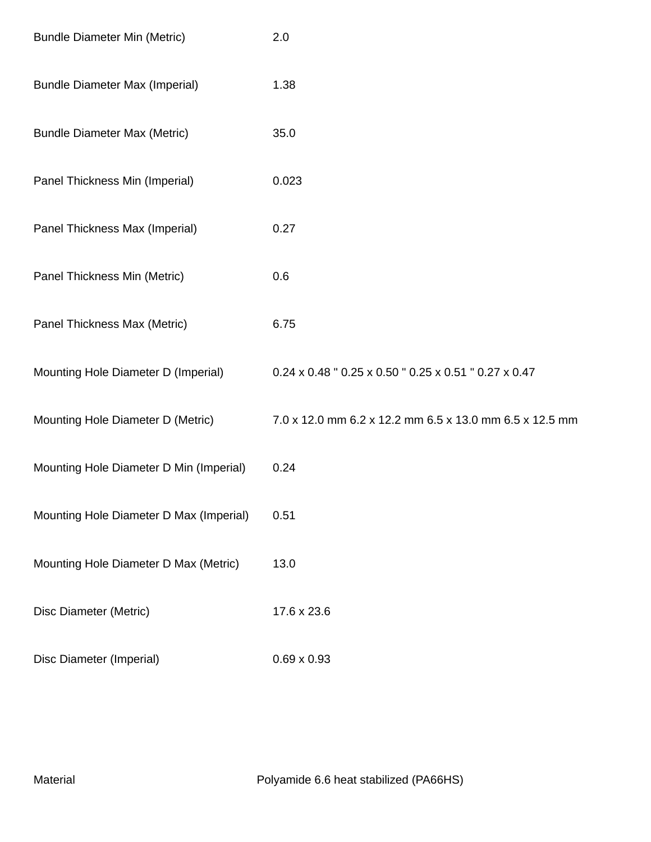| <b>Bundle Diameter Min (Metric)</b>     | 2.0                                                     |
|-----------------------------------------|---------------------------------------------------------|
| <b>Bundle Diameter Max (Imperial)</b>   | 1.38                                                    |
| <b>Bundle Diameter Max (Metric)</b>     | 35.0                                                    |
| Panel Thickness Min (Imperial)          | 0.023                                                   |
| Panel Thickness Max (Imperial)          | 0.27                                                    |
| Panel Thickness Min (Metric)            | 0.6                                                     |
| Panel Thickness Max (Metric)            | 6.75                                                    |
| Mounting Hole Diameter D (Imperial)     | 0.24 x 0.48 " 0.25 x 0.50 " 0.25 x 0.51 " 0.27 x 0.47   |
| Mounting Hole Diameter D (Metric)       | 7.0 x 12.0 mm 6.2 x 12.2 mm 6.5 x 13.0 mm 6.5 x 12.5 mm |
| Mounting Hole Diameter D Min (Imperial) | 0.24                                                    |
| Mounting Hole Diameter D Max (Imperial) | 0.51                                                    |
| Mounting Hole Diameter D Max (Metric)   | 13.0                                                    |
| Disc Diameter (Metric)                  | 17.6 x 23.6                                             |
| Disc Diameter (Imperial)                | $0.69 \times 0.93$                                      |